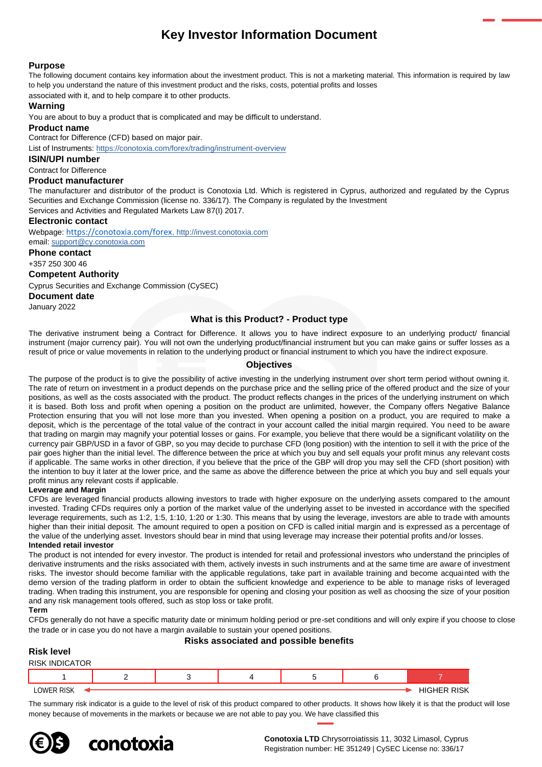# **Key Investor Information Document**

### **Purpose**

The following document contains key information about the investment product. This is not a marketing material. This information is required by law to help you understand the nature of this investment product and the risks, costs, potential profits and losses

associated with it, and to help compare it to other products.

# **Warning**

You are about to buy a product that is complicated and may be difficult to understand.

#### **Product name**

Contract for Difference (CFD) based on major pair.

List of Instruments: <https://conotoxia.com/forex/trading/instrument-overview>

**ISIN/UPI number**

### Contract for Difference

### **Product manufacturer**

The manufacturer and distributor of the product is Conotoxia Ltd. Which is registered in Cyprus, authorized and regulated by the Cyprus Securities and Exchange Commission (license no. 336/17). The Company is regulated by the Investment

Services and Activities and Regulated Markets Law 87(I) 2017.

#### **Electronic contact**

Webpage: <https://conotoxia.com/forex>, http://invest.conotoxia.com email: support@cy.conotoxia.com

**Phone contact**

+357 250 300 46

### **Competent Authority**

Cyprus Securities and Exchange Commission (CySEC)

**Document date**

January 2022

### **What is this Product? - Product type**

The derivative instrument being a Contract for Difference. It allows you to have indirect exposure to an underlying product/ financial instrument (major currency pair). You will not own the underlying product/financial instrument but you can make gains or suffer losses as a result of price or value movements in relation to the underlying product or financial instrument to which you have the indirect exposure.

### **Objectives**

The purpose of the product is to give the possibility of active investing in the underlying instrument over short term period without owning it. The rate of return on investment in a product depends on the purchase price and the selling price of the offered product and the size of your positions, as well as the costs associated with the product. The product reflects changes in the prices of the underlying instrument on which it is based. Both loss and profit when opening a position on the product are unlimited, however, the Company offers Negative Balance Protection ensuring that you will not lose more than you invested. When opening a position on a product, you are required to make a deposit, which is the percentage of the total value of the contract in your account called the initial margin required. You need to be aware that trading on margin may magnify your potential losses or gains. For example, you believe that there would be a significant volatility on the currency pair GBP/USD in a favor of GBP, so you may decide to purchase CFD (long position) with the intention to sell it with the price of the pair goes higher than the initial level. The difference between the price at which you buy and sell equals your profit minus any relevant costs if applicable. The same works in other direction, if you believe that the price of the GBP will drop you may sell the CFD (short position) with the intention to buy it later at the lower price, and the same as above the difference between the price at which you buy and sell equals your profit minus any relevant costs if applicable.

#### **Leverage and Margin**

CFDs are leveraged financial products allowing investors to trade with higher exposure on the underlying assets compared to the amount invested. Trading CFDs requires only a portion of the market value of the underlying asset to be invested in accordance with the specified leverage requirements, such as 1:2, 1:5, 1:10, 1:20 or 1:30. This means that by using the leverage, investors are able to trade with amounts higher than their initial deposit. The amount required to open a position on CFD is called initial margin and is expressed as a percentage of the value of the underlying asset. Investors should bear in mind that using leverage may increase their potential profits and/or losses. **Intended retail investor**

The product is not intended for every investor. The product is intended for retail and professional investors who understand the principles of derivative instruments and the risks associated with them, actively invests in such instruments and at the same time are aware of investment risks. The investor should become familiar with the applicable regulations, take part in available training and become acquainted with the demo version of the trading platform in order to obtain the sufficient knowledge and experience to be able to manage risks of leveraged trading. When trading this instrument, you are responsible for opening and closing your position as well as choosing the size of your position and any risk management tools offered, such as stop loss or take profit.

#### **Term**

CFDs generally do not have a specific maturity date or minimum holding period or pre-set conditions and will only expire if you choose to close the trade or in case you do not have a margin available to sustain your opened positions.

### **Risk level**

# **Risks associated and possible benefits**

| .                     |  |  |                    |  |
|-----------------------|--|--|--------------------|--|
| <b>RISK INDICATOR</b> |  |  |                    |  |
|                       |  |  |                    |  |
| <b>LOWER RISK</b>     |  |  | <b>HIGHER RISK</b> |  |

The summary risk indicator is a guide to the level of risk of this product compared to other products. It shows how likely it is that the product will lose money because of movements in the markets or because we are not able to pay you. We have classified this



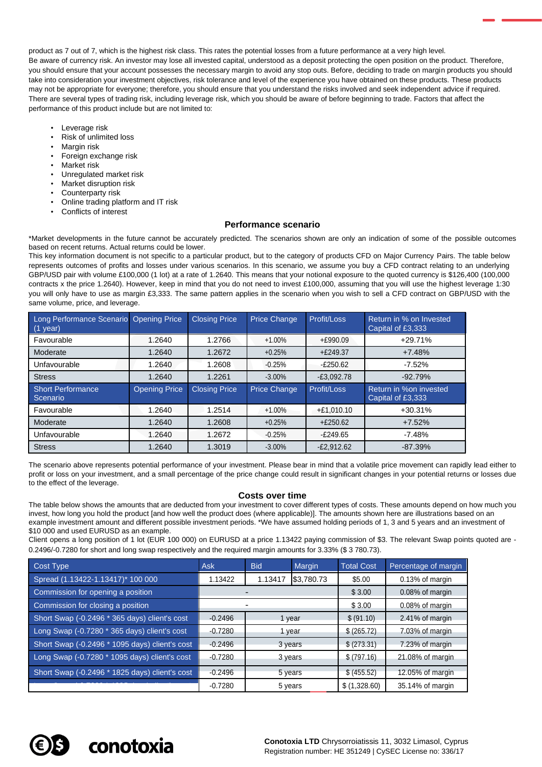product as 7 out of 7, which is the highest risk class. This rates the potential losses from a future performance at a very high level. Be aware of currency risk. An investor may lose all invested capital, understood as a deposit protecting the open position on the product. Therefore, you should ensure that your account possesses the necessary margin to avoid any stop outs. Before, deciding to trade on margin products you should take into consideration your investment objectives, risk tolerance and level of the experience you have obtained on these products. These products may not be appropriate for everyone; therefore, you should ensure that you understand the risks involved and seek independent advice if required. There are several types of trading risk, including leverage risk, which you should be aware of before beginning to trade. Factors that affect the performance of this product include but are not limited to:

- Leverage risk
- Risk of unlimited loss
- Margin risk
- Foreign exchange risk
- Market risk
- Unregulated market risk
- Market disruption risk
- Counterparty risk
- Online trading platform and IT risk
- Conflicts of interest

### **Performance scenario**

\*Market developments in the future cannot be accurately predicted. The scenarios shown are only an indication of some of the possible outcomes based on recent returns. Actual returns could be lower.

This key information document is not specific to a particular product, but to the category of products CFD on Major Currency Pairs. The table below represents outcomes of profits and losses under various scenarios. In this scenario, we assume you buy a CFD contract relating to an underlying GBP/USD pair with volume £100,000 (1 lot) at a rate of 1.2640. This means that your notional exposure to the quoted currency is \$126,400 (100,000 contracts x the price 1.2640). However, keep in mind that you do not need to invest £100,000, assuming that you will use the highest leverage 1:30 you will only have to use as margin £3,333. The same pattern applies in the scenario when you wish to sell a CFD contract on GBP/USD with the same volume, price, and leverage.

| Long Performance Scenario Opening Price<br>$(1$ year) |                      | <b>Closing Price</b> | <b>Price Change</b> | Profit/Loss  | Return in % on Invested<br>Capital of £3,333 |
|-------------------------------------------------------|----------------------|----------------------|---------------------|--------------|----------------------------------------------|
| Favourable                                            | 1.2640               | 1.2766               | $+1.00\%$           | $+£990.09$   | $+29.71%$                                    |
| Moderate                                              | 1.2640               | 1.2672               | $+0.25%$            | $+£249.37$   | $+7.48%$                                     |
| Unfavourable                                          | 1.2640               | 1.2608               | $-0.25%$            | $-£250.62$   | $-7.52%$                                     |
| <b>Stress</b>                                         | 1.2640               | 1.2261               | $-3.00%$            | $-E3,092.78$ | $-92.79%$                                    |
| <b>Short Performance</b><br>Scenario                  | <b>Opening Price</b> | <b>Closing Price</b> | Price Change        | Profit/Loss  | Return in %on invested                       |
|                                                       |                      |                      |                     |              | Capital of £3,333                            |
| Favourable                                            | 1.2640               | 1.2514               | $+1.00%$            | $+£1,010.10$ | $+30.31%$                                    |
| Moderate                                              | 1.2640               | 1.2608               | $+0.25%$            | $+£250.62$   | $+7.52%$                                     |
| Unfavourable                                          | 1.2640               | 1.2672               | $-0.25%$            | $-E249.65$   | $-7.48%$                                     |

The scenario above represents potential performance of your investment. Please bear in mind that a volatile price movement can rapidly lead either to profit or loss on your investment, and a small percentage of the price change could result in significant changes in your potential returns or losses due to the effect of the leverage.

#### **Costs over time**

The table below shows the amounts that are deducted from your investment to cover different types of costs. These amounts depend on how much you invest, how long you hold the product [and how well the product does (where applicable)]. The amounts shown here are illustrations based on an example investment amount and different possible investment periods. \*We have assumed holding periods of 1, 3 and 5 years and an investment of \$10 000 and used EURUSD as an example.

Client opens a long position of 1 lot (EUR 100 000) on EURUSD at a price 1.13422 paying commission of \$3. The relevant Swap points quoted are - 0.2496/-0.7280 for short and long swap respectively and the required margin amounts for 3.33% (\$ 3 780.73).

| Cost Type                                      | <b>Ask</b> | <b>Bid</b> | Margin     | <b>Total Cost</b> | Percentage of margin |
|------------------------------------------------|------------|------------|------------|-------------------|----------------------|
| Spread (1.13422-1.13417) <sup>*</sup> 100 000  | 1.13422    | 1.13417    | \$3,780.73 | \$5.00            | 0.13% of margin      |
| Commission for opening a position              |            |            |            | \$3.00            | 0.08% of margin      |
| Commission for closing a position              |            |            |            | \$3.00            | 0.08% of margin      |
| Short Swap (-0.2496 * 365 days) client's cost  | $-0.2496$  | 1 year     |            | \$ (91.10)        | 2.41% of margin      |
| Long Swap (-0.7280 * 365 days) client's cost   | $-0.7280$  | 1 year     |            | \$(265.72)        | 7.03% of margin      |
| Short Swap (-0.2496 * 1095 days) client's cost | $-0.2496$  | 3 years    |            | \$ (273.31)       | 7.23% of margin      |
| Long Swap (-0.7280 * 1095 days) client's cost  | $-0.7280$  | 3 years    |            | \$ (797.16)       | 21.08% of margin     |
| Short Swap (-0.2496 * 1825 days) client's cost | $-0.2496$  | 5 years    |            | \$ (455.52)       | 12.05% of margin     |
|                                                | $-0.7280$  | 5 years    |            | \$ (1,328.60)     | 35.14% of margin     |